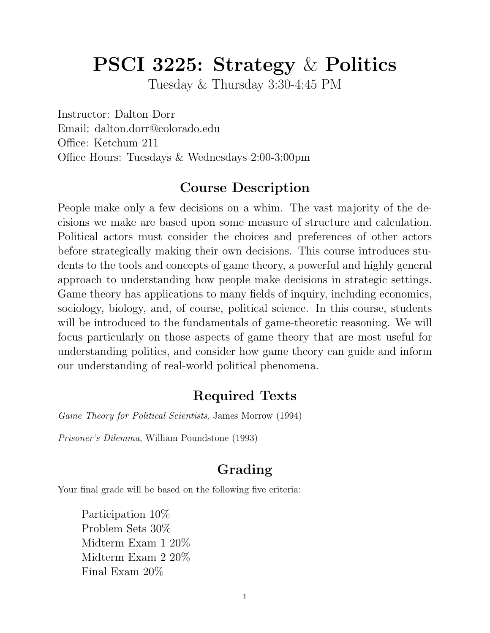# PSCI 3225: Strategy & Politics

Tuesday & Thursday 3:30-4:45 PM

Instructor: Dalton Dorr Email: dalton.dorr@colorado.edu Office: Ketchum 211 Office Hours: Tuesdays & Wednesdays 2:00-3:00pm

### Course Description

People make only a few decisions on a whim. The vast majority of the decisions we make are based upon some measure of structure and calculation. Political actors must consider the choices and preferences of other actors before strategically making their own decisions. This course introduces students to the tools and concepts of game theory, a powerful and highly general approach to understanding how people make decisions in strategic settings. Game theory has applications to many fields of inquiry, including economics, sociology, biology, and, of course, political science. In this course, students will be introduced to the fundamentals of game-theoretic reasoning. We will focus particularly on those aspects of game theory that are most useful for understanding politics, and consider how game theory can guide and inform our understanding of real-world political phenomena.

### Required Texts

Game Theory for Political Scientists, James Morrow (1994)

Prisoner's Dilemma, William Poundstone (1993)

# Grading

Your final grade will be based on the following five criteria:

Participation 10% Problem Sets 30% Midterm Exam 1 20% Midterm Exam 2 20% Final Exam 20%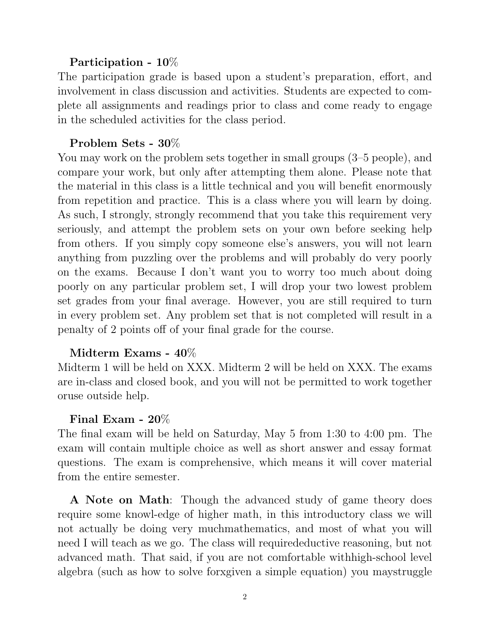#### Participation - 10%

The participation grade is based upon a student's preparation, effort, and involvement in class discussion and activities. Students are expected to complete all assignments and readings prior to class and come ready to engage in the scheduled activities for the class period.

#### Problem Sets - 30%

You may work on the problem sets together in small groups (3–5 people), and compare your work, but only after attempting them alone. Please note that the material in this class is a little technical and you will benefit enormously from repetition and practice. This is a class where you will learn by doing. As such, I strongly, strongly recommend that you take this requirement very seriously, and attempt the problem sets on your own before seeking help from others. If you simply copy someone else's answers, you will not learn anything from puzzling over the problems and will probably do very poorly on the exams. Because I don't want you to worry too much about doing poorly on any particular problem set, I will drop your two lowest problem set grades from your final average. However, you are still required to turn in every problem set. Any problem set that is not completed will result in a penalty of 2 points off of your final grade for the course.

#### Midterm Exams - 40%

Midterm 1 will be held on XXX. Midterm 2 will be held on XXX. The exams are in-class and closed book, and you will not be permitted to work together oruse outside help.

#### Final Exam - 20%

The final exam will be held on Saturday, May 5 from 1:30 to 4:00 pm. The exam will contain multiple choice as well as short answer and essay format questions. The exam is comprehensive, which means it will cover material from the entire semester.

A Note on Math: Though the advanced study of game theory does require some knowl-edge of higher math, in this introductory class we will not actually be doing very muchmathematics, and most of what you will need I will teach as we go. The class will requiredeductive reasoning, but not advanced math. That said, if you are not comfortable withhigh-school level algebra (such as how to solve forxgiven a simple equation) you maystruggle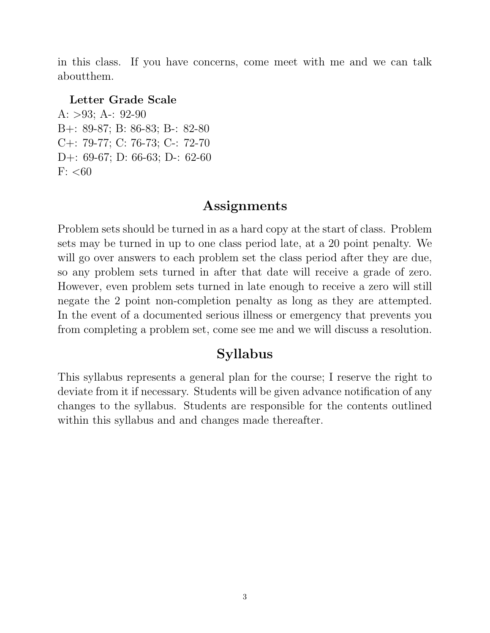in this class. If you have concerns, come meet with me and we can talk aboutthem.

#### Letter Grade Scale

A:  $>93$ ; A-: 92-90 B+: 89-87; B: 86-83; B-: 82-80 C+: 79-77; C: 76-73; C-: 72-70 D+: 69-67; D: 66-63; D-: 62-60  $F: < 60$ 

#### Assignments

Problem sets should be turned in as a hard copy at the start of class. Problem sets may be turned in up to one class period late, at a 20 point penalty. We will go over answers to each problem set the class period after they are due, so any problem sets turned in after that date will receive a grade of zero. However, even problem sets turned in late enough to receive a zero will still negate the 2 point non-completion penalty as long as they are attempted. In the event of a documented serious illness or emergency that prevents you from completing a problem set, come see me and we will discuss a resolution.

#### Syllabus

This syllabus represents a general plan for the course; I reserve the right to deviate from it if necessary. Students will be given advance notification of any changes to the syllabus. Students are responsible for the contents outlined within this syllabus and and changes made thereafter.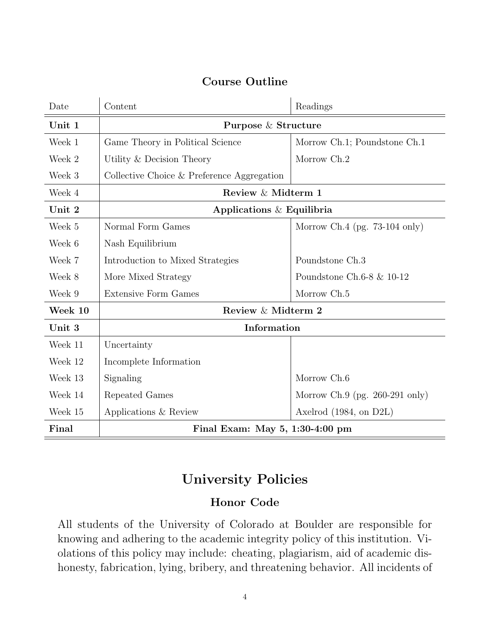#### Course Outline

| Date    | Content                                    | Readings                         |
|---------|--------------------------------------------|----------------------------------|
| Unit 1  | Purpose & Structure                        |                                  |
| Week 1  | Game Theory in Political Science           | Morrow Ch.1; Poundstone Ch.1     |
| Week 2  | Utility & Decision Theory                  | Morrow Ch.2                      |
| Week 3  | Collective Choice & Preference Aggregation |                                  |
| Week 4  | Review & Midterm 1                         |                                  |
| Unit 2  | Applications $\&$ Equilibria               |                                  |
| Week 5  | Normal Form Games                          | Morrow Ch.4 (pg. $73-104$ only)  |
| Week 6  | Nash Equilibrium                           |                                  |
| Week 7  | Introduction to Mixed Strategies           | Poundstone Ch.3                  |
| Week 8  | More Mixed Strategy                        | Poundstone Ch.6-8 $\&$ 10-12     |
| Week 9  | <b>Extensive Form Games</b>                | Morrow Ch.5                      |
| Week 10 | Review & Midterm 2                         |                                  |
| Unit 3  | Information                                |                                  |
| Week 11 | Uncertainty                                |                                  |
| Week 12 | Incomplete Information                     |                                  |
| Week 13 | Signaling                                  | Morrow Ch.6                      |
| Week 14 | Repeated Games                             | Morrow Ch.9 (pg. $260-291$ only) |
| Week 15 | Applications & Review                      | Axelrod $(1984, on D2L)$         |
| Final   | Final Exam: May 5, 1:30-4:00 pm            |                                  |

# University Policies

#### Honor Code

All students of the University of Colorado at Boulder are responsible for knowing and adhering to the academic integrity policy of this institution. Violations of this policy may include: cheating, plagiarism, aid of academic dishonesty, fabrication, lying, bribery, and threatening behavior. All incidents of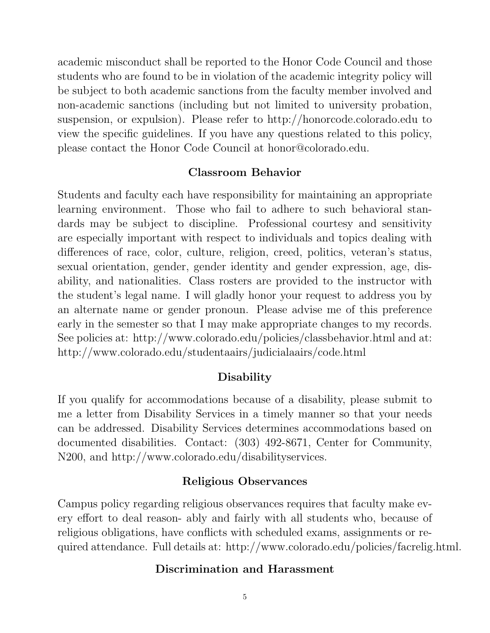academic misconduct shall be reported to the Honor Code Council and those students who are found to be in violation of the academic integrity policy will be subject to both academic sanctions from the faculty member involved and non-academic sanctions (including but not limited to university probation, suspension, or expulsion). Please refer to http://honorcode.colorado.edu to view the specific guidelines. If you have any questions related to this policy, please contact the Honor Code Council at honor@colorado.edu.

#### Classroom Behavior

Students and faculty each have responsibility for maintaining an appropriate learning environment. Those who fail to adhere to such behavioral standards may be subject to discipline. Professional courtesy and sensitivity are especially important with respect to individuals and topics dealing with differences of race, color, culture, religion, creed, politics, veteran's status, sexual orientation, gender, gender identity and gender expression, age, disability, and nationalities. Class rosters are provided to the instructor with the student's legal name. I will gladly honor your request to address you by an alternate name or gender pronoun. Please advise me of this preference early in the semester so that I may make appropriate changes to my records. See policies at: http://www.colorado.edu/policies/classbehavior.html and at: http://www.colorado.edu/studentaairs/judicialaairs/code.html

#### Disability

If you qualify for accommodations because of a disability, please submit to me a letter from Disability Services in a timely manner so that your needs can be addressed. Disability Services determines accommodations based on documented disabilities. Contact: (303) 492-8671, Center for Community, N200, and http://www.colorado.edu/disabilityservices.

#### Religious Observances

Campus policy regarding religious observances requires that faculty make every effort to deal reason- ably and fairly with all students who, because of religious obligations, have conflicts with scheduled exams, assignments or required attendance. Full details at: http://www.colorado.edu/policies/facrelig.html.

#### Discrimination and Harassment